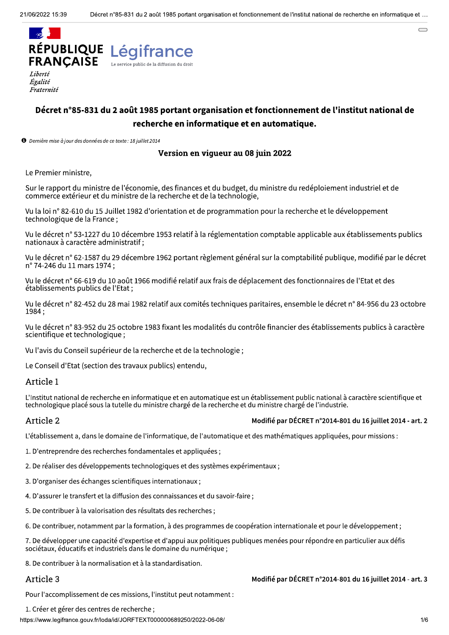

Liberté Égalité Fraternité

# Décret n°85-831 du 2 août 1985 portant organisation et fonctionnement de l'institut national de recherche en informatique et en automatique.

**O** Dernière mise à jour des données de ce texte : 18 juillet 2014

## Version en vigueur au 08 juin 2022

Le Premier ministre,

Sur le rapport du ministre de l'économie, des finances et du budget, du ministre du redéploiement industriel et de commerce extérieur et du ministre de la recherche et de la technologie,

Vu la loi n° 82-610 du 15 Juillet 1982 d'orientation et de programmation pour la recherche et le développement technologique de la France;

Vu le décret n° 53-1227 du 10 décembre 1953 relatif à la réglementation comptable applicable aux établissements publics nationaux à caractère administratif;

Vu le décret n° 62-1587 du 29 décembre 1962 portant règlement général sur la comptabilité publique, modifié par le décret nº 74-246 du 11 mars 1974;

Vu le décret n° 66-619 du 10 août 1966 modifié relatif aux frais de déplacement des fonctionnaires de l'Etat et des établissements publics de l'Etat ;

Vu le décret n° 82-452 du 28 mai 1982 relatif aux comités techniques paritaires, ensemble le décret n° 84-956 du 23 octobre 1984;

Vu le décret n° 83-952 du 25 octobre 1983 fixant les modalités du contrôle financier des établissements publics à caractère scientifique et technologique;

Vu l'avis du Conseil supérieur de la recherche et de la technologie;

Le Conseil d'Etat (section des travaux publics) entendu,

### Article 1

L'Institut national de recherche en informatique et en automatique est un établissement public national à caractère scientifique et technologique placé sous la tutelle du ministre chargé de la recherche et du ministre chargé de l'industrie.

### Article 2

### Modifié par DÉCRET n°2014-801 du 16 juillet 2014 - art. 2

L'établissement a, dans le domaine de l'informatique, de l'automatique et des mathématiques appliquées, pour missions :

1. D'entreprendre des recherches fondamentales et appliquées :

2. De réaliser des développements technologiques et des systèmes expérimentaux ;

- 3. D'organiser des échanges scientifiques internationaux ;
- 4. D'assurer le transfert et la diffusion des connaissances et du savoir-faire :
- 5. De contribuer à la valorisation des résultats des recherches :

6. De contribuer, notamment par la formation, à des programmes de coopération internationale et pour le développement;

7. De développer une capacité d'expertise et d'appui aux politiques publiques menées pour répondre en particulier aux défis sociétaux, éducatifs et industriels dans le domaine du numérique ;

8. De contribuer à la normalisation et à la standardisation.

### Article 3

### Modifié par DÉCRET n°2014-801 du 16 juillet 2014 - art. 3

Pour l'accomplissement de ces missions, l'institut peut notamment :

1. Créer et gérer des centres de recherche;

https://www.legifrance.gouv.fr/loda/id/JORFTEXT000000689250/2022-06-08/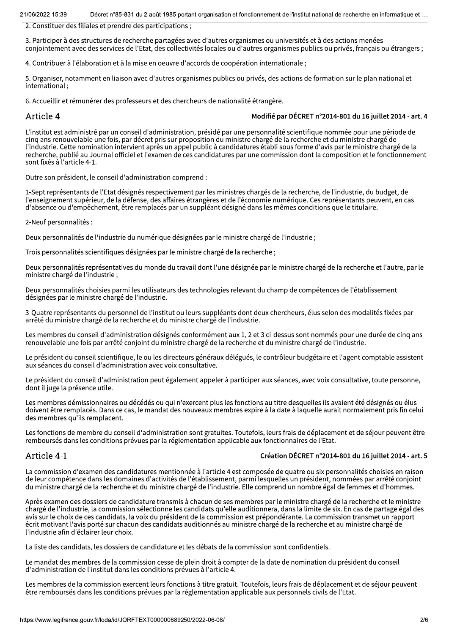Lecret n°85-831 du 2 aout 1985 portant organisation et fonctionnement de l'institut national de recherche en informatique et …

2. Constituer des filiales et prendre des participations ;

3. Participer à des structures de recherche partagées avec d'autres organismes ou universités et à des actions menées  $\alpha$ conjointement avec des services de l'Etat, des collectivités locales ou d'autres organismes publics ou privés, français ou étrangers ;

4. Contribuer à l'élaboration et à la mise en oeuvre d'accords de coopération internationale ;

5. Organiser, notamment en liaison avec d'autres organismes publics ou privés, des actions de formation sur le plan national et  $intermutational$ ;

6. Accueillir et rémunérer des professeurs et des chercheurs de nationalité étrangère.

### Article 4

#### Modifié par DÉCRET n°2014-801 du 16 juillet 2014 - art. 4

L'institut est administré par un conseil d'administration, présidé par une personnalité scientifique nommée pour une période de cing ans renouvelable une fois, par décret pris sur proposition du ministre chargé de la recherche et du ministre chargé de The construction of the contribution intervient après un appel public à candidatures établi sous forme d'avis par le ministre chargé de la recherche, publié au Journal officiel et l'examen de ces candidatures par une commission dont la composition et le fonctionnement sont fixés à l'article 4-1.

Outre son président, le conseil d'administration comprend :

1-Sept représentants de l'Etat désignés respectivement par les ministres chargés de la recherche, de l'industrie, du budget, de l'enseignement supérieur, de la défense, des affaires étrangères et de l'économie numérique. Ces représentants peuvent, en cas d'absence ou d'empêchement, être remplacés par un suppléant désigné dans les mêmes conditions que le titulaire.

2-Neuf personnalités :

Deux personnalités de l'industrie du numérique désignées par le ministre chargé de l'industrie ;

Trois personnalités scientifiques désignées par le ministre chargé de la recherche;

Deux personnalités représentatives du monde du travail dont l'une désignée par le ministre chargé de la recherche et l'autre, par le ministre chargé de l'industrie;

Deux personnalités choisies parmi les utilisateurs des technologies relevant du champ de compétences de l'établissement désignées par le ministre chargé de l'industrie.

3-Quatre représentants du personnel de l'institut ou leurs suppléants dont deux chercheurs, élus selon des modalités fixées par arrêté du ministre chargé de la recherche et du ministre chargé de l'industrie.

Les membres du conseil d'administration désignés conformément aux 1, 2 et 3 ci-dessus sont nommés pour une durée de cinq ans renouvelable une fois par arrêté conjoint du ministre chargé de la recherche et du ministre chargé de l'industrie.

Le président du conseil scientifique, le ou les directeurs généraux délégués, le contrôleur budgétaire et l'agent comptable assistent aux séances du conseil d'administration avec voix consultative.

Le président du conseil d'administration peut également appeler à participer aux séances, avec voix consultative, toute personne, dont il juge la présence utile.

Les membres démissionnaires ou décédés ou qui n'exercent plus les fonctions au titre desquelles ils avaient été désignés ou élus doivent être remplacés. Dans ce cas, le mandat des nouveaux membres expire à la date à laquelle aurait normalement pris fin celui  $\gamma$  des membres qu<sup>i</sup> ils remplacent.

Les fonctions de membre du conseil d'administration sont gratuites. Toutefois, leurs frais de déplacement et de séjour peuvent être remboursés dans les conditions prévues par la réglementation applicable aux fonctionnaires de l'Etat.

### Article 4-1

#### Création DÉCRET n°2014-801 du 16 juillet 2014 - art. 5

La commission d'examen des candidatures mentionnée à l'article 4 est composée de quatre ou six personnalités choisies en raison TE COMMECTE E TENIUM ET TENIUM ET COMBINIUM ET UNIVES DE l'établissement, parmi lesquelles un président, nommées par arrêté conjoint du ministre chargé de la recherche et du ministre chargé de l'industrie. Elle comprend un nombre égal de femmes et d'hommes.

Après examen des dossiers de candidature transmis à chacun de ses membres par le ministre chargé de la recherche et le ministre chargé de l'industrie, la commission sélectionne les candidats qu'elle auditionnera, dans la limite de six. En cas de partage égal des avis sur le choix de ces candidats, la voix du président de la commission est prépondérante. La commission transmet un rapport écrit motivant l'avis porté sur chacun des candidats auditionnés au ministre chargé de la recherche et au ministre chargé de l'industrie afin d'éclairer leur choix.

La liste des candidats, les dossiers de candidature et les débats de la commission sont confidentiels.

Le mandat des membres de la commission cesse de plein droit à compter de la date de nomination du président du conseil d'administration de l'institut dans les conditions prévues à l'article 4.

Le mandat des membres de la commission desse de<br>d'administration de l'institut dans les conditions pré<br>Les membres de la commission exercent leurs fonct<br>être remboursés dans les conditions prévues par la l<br>https://www.legi Les membres de la commission exercent leurs fonctions à titre gratuit. Toutefois, leurs frais de déplacement et de séjour peuvent être remboursés dans les conditions prévues par la réglementation applicable aux personnels civils de l'Etat.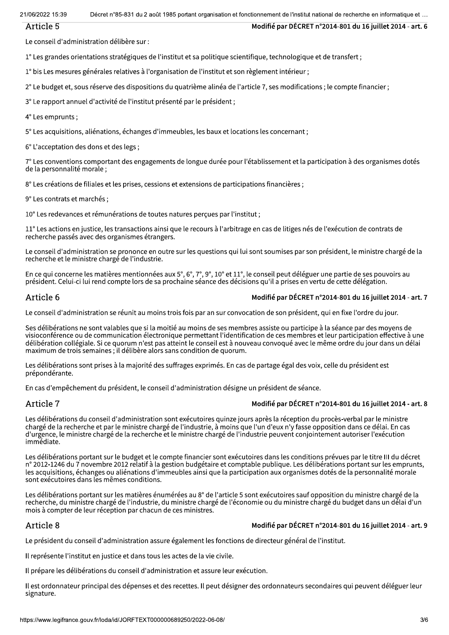Lecret n°85-831 du 2 aout 1985 portant organisation et fonctionnement de l'institut national de recherche en informatique et …

### Article 5

Le conseil d'administration délibère sur :

 $1^\circ$  Les grandes orientations stratégiques de l'institut et sa politique scientifique, technologique et de transfert;

 $1^\circ$  bis Les mesures générales relatives à l'organisation de l'institut et son règlement intérieur;

 $2^\circ$  Le budget et, sous réserve des dispositions du quatrième alinéa de l'article 7, ses modifications; le compte financier;

3° Le rapport annuel d'activité de l'institut présenté par le président ;

 $4^\circ$  Les emprunts :

 $5^\circ$  Les acquisitions, aliénations, échanges d'immeubles, les baux et locations les concernant;

 $6^\circ$  L'acceptation des dons et des legs :

 $7^\circ$  Les conventions comportant des engagements de longue durée pour l'établissement et la participation à des organismes dotés de la personnalité morale;

 $8^\circ$  Les créations de filiales et les prises, cessions et extensions de participations financières;

9° Les contrats et marchés ;

10° Les redevances et rémunérations de toutes natures percues par l'institut ;

 $11^\circ$  Les actions en justice, les transactions ainsi que le recours à l'arbitrage en cas de litiges nés de l'exécution de contrats de  $recherche$  passés avec des organismes étrangers.

Le conseil d'administration se prononce en outre sur les questions qui lui sont soumises par son président, le ministre chargé de la recherche et le ministre chargé de l'industrie.

En ce qui concerne les matières mentionnées aux 5°, 6°, 7°, 9°, 10° et 11°, le conseil peut déléguer une partie de ses pouvoirs au président. Celui-ci lui rend compte lors de sa prochaine séance des décisions qu'il a prises en vertu de cette délégation.

### Article 6

### Modifié par DÉCRET n°2014-801 du 16 juillet 2014 - art. 7

Modifié par DECRET n°2014-801 du 16 juillet 2014 - art. 6

Le conseil d'administration se réunit au moins trois fois par an sur convocation de son président, qui en fixe l'ordre du jour.

Ses délibérations ne sont valables que si la moitié au moins de ses membres assiste ou participe à la séance par des moyens de visioconférence ou de communication électronique permettant l'identification de ces membres et leur participation effective à une délibération collégiale. Si ce quorum n'est pas atteint le conseil est à nouveau convoqué avec le même ordre du jour dans un délai  $maximum$  de trois semaines; il délibère alors sans condition de quorum.

Les délibérations sont prises à la majorité des suffrages exprimés. En cas de partage égal des voix, celle du président est prépondérante.

En cas d'empêchement du président, le conseil d'administration désigne un président de séance.

### Article 7

### Modifié par DÉCRET n°2014-801 du 16 juillet 2014 - art. 8

Les délibérations du conseil d'administration sont exécutoires quinze jours après la réception du procès-verbal par le ministre chargé de la recherche et par le ministre chargé de l'industrie, à moins que l'un d'eux n'y fasse opposition dans ce délai. En cas d'urgence, le ministre chargé de la recherche et le ministre chargé de l'industrie peuvent conjointement autoriser l'exécution immédiate.

Les délibérations portant sur le budget et le compte financier sont exécutoires dans les conditions prévues par le titre III du décret n° 2012-1246 du 7 novembre 2012 relatif à la gestion budgétaire et comptable publique. Les délibérations portant sur les emprunts,  $\ell$ es acquisitions, échanges ou aliénations d'immeubles ainsi que la participation aux organismes dotés de la personnalité morale sont exécutoires dans les mêmes conditions.

Les délibérations portant sur les matières énumérées au 8° de l'article 5 sont exécutoires sauf opposition du ministre chargé de la recherche, du ministre chargé de l'industrie, du ministre chargé de l'économie ou du ministre chargé du budget dans un délai d'un mois à compter de leur réception par chacun de ces ministres.

# Article 8

### Modifié par DÉCRET n°2014-801 du 16 juillet 2014 - art. 9

Le président du conseil d'administration assure également les fonctions de directeur général de l'institut.

Il représente l'institut en justice et dans tous les actes de la vie civile.

Il prépare les délibérations du conseil d'administration et assure leur exécution.

Il prépare les délibérations du conseil d'administrati<br>Il est ordonnateur principal des dépenses et des recessignature.<br>Signature.<br>https://www.legifrance.gouv.fr/loda/id/JORFTEXT0000006892 Il est ordonnateur principal des dépenses et des recettes. Il peut désigner des ordonnateurs secondaires qui peuvent déléguer leur signature.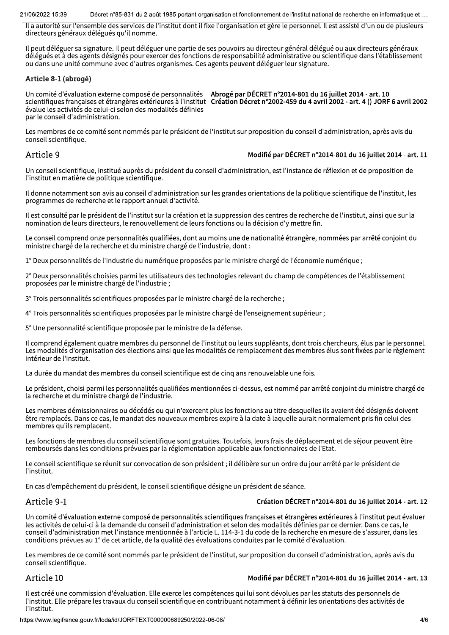21/06/2022 15:39 Lecret n°85-831 du 2 aout 1985 portant organisation et fonctionnement de l'institut national de recherche en informatique et …

Il a autorité sur l'ensemble des services de l'institut dont il fixe l'organisation et gère le personnel. Il est assisté d'un ou de plusieurs directeurs généraux délégués qu'il nomme.

Il peut déléguer sa signature. Il peut déléguer une partie de ses pouvoirs au directeur général délégué ou aux directeurs généraux délégués et à des agents désignés pour exercer des fonctions de responsabilité administrative ou scientifique dans l'établissement ou dans une unité commune avec d'autres organismes. Ces agents peuvent déléguer leur signature.

#### Article 8-1 (abrogé)

Un comite d'evaluation externe compose de personnalités — Abroge par DECRE I n°2014-801 du 16 juillet 2014 - art. 10  $\,$ scientifiques françaises et etrangeres exterieures a l'institut  $\,$  Creation Decret n°2002-459 du 4 avril 2002 - art. 4 () JORF 6 avril 2002 évalue les activités de celui-ci selon des modalités définies par le conseil d'administration.

Les membres de ce comité sont nommés par le président de l'institut sur proposition du conseil d'administration, après avis du conseil scientifique.

### Article 9

### Modifié par DÉCRET n°2014-801 du 16 juillet 2014 - art. 11

Un conseil scientifique, institué auprès du président du conseil d'administration, est l'instance de réflexion et de proposition de l'institut en matière de politique scientifique.

Il donne notamment son avis au conseil d'administration sur les grandes orientations de la politique scientifique de l'institut, les programmes de recherche et le rapport annuel d'activité.

Il est consulté par le président de l'institut sur la création et la suppression des centres de recherche de l'institut, ainsi que sur la nomination de leurs directeurs, le renouvellement de leurs fonctions ou la décision d'y mettre fin.

Le conseil comprend onze personnalités qualifiées, dont au moins une de nationalité étrangère, nommées par arrêté conjoint du ministre chargé de la recherche et du ministre chargé de l'industrie, dont :

1° Deux personnalités de l'industrie du numérique proposées par le ministre chargé de l'économie numérique ;

2° Deux personnalités choisies parmi les utilisateurs des technologies relevant du champ de compétences de l'établissement proposées par le ministre chargé de l'industrie;

3° Trois personnalités scientifiques proposées par le ministre chargé de la recherche ;

4° Trois personnalités scientifiques proposées par le ministre chargé de l'enseignement supérieur ;

5° Une personnalité scientifique proposée par le ministre de la défense.

Il comprend également quatre membres du personnel de l'institut ou leurs suppléants, dont trois chercheurs, élus par le personnel. formation of the product of the fluoresceae product of the modelities of the modelities of the modelities due particle between the production of the product of the product of the product of the product of the product of th intérieur de l'institut.

La durée du mandat des membres du conseil scientifique est de cinq ans renouvelable une fois.

Le président, choisi parmi les personnalités qualifiées mentionnées ci-dessus, est nommé par arrêté conjoint du ministre chargé de la recherche et du ministre chargé de l'industrie.

Les membres démissionnaires ou décédés ou qui n'exercent plus les fonctions au titre desquelles ils avaient été désignés doivent être remplacés. Dans ce cas, le mandat des nouveaux membres expire à la date à laquelle aurait normalement pris fin celui des membres qu'ils remplacent.

Les fonctions de membres du conseil scientifique sont gratuites. Toutefois, leurs frais de déplacement et de séjour peuvent être remboursés dans les conditions prévues par la réglementation applicable aux fonctionnaires de l'Etat.

Le conseil scientifique se réunit sur convocation de son président : il délibère sur un ordre du jour arrêté par le président de l'institut.

En cas d'empêchement du président, le conseil scientifique désigne un président de séance.

### Article 9-1

### Création DÉCRET n°2014-801 du 16 juillet 2014 - art. 12

Un comité d'évaluation externe composé de personnalités scientifiques francaises et étrangères extérieures à l'institut peut évaluer les activités de celui-ci à la demande du conseil d'administration et selon des modalités définies par ce dernier. Dans ce cas, le conseil d'administration met l'instance mentionnée à l'article L. 114-3-1 du code de la recherche en mesure de s'assurer, dans les conditions prévues au 1° de cet article, de la qualité des évaluations conduites par le comité d'évaluation.

Les membres de ce comité sont nommés par le président de l'institut, sur proposition du conseil d'administration, après avis du conseil scientifique.

### Article 10

#### Modifié par DÉCRET n°2014-801 du 16 juillet 2014 - art. 13

conseit scientifique.<br>
Article 10<br>
Il est créé une commission d'évaluation. Elle exerce<br>
l'institut. Elle prépare les travaux du conseil scientifi<br>
l'institut.<br>
https://www.legifrance.gouv.fr/loda/id/JORFTEXT0000006892 Il est créé une commission d'évaluation. Elle exerce les compétences qui lui sont dévolues par les statuts des personnels de l'institut. Elle prépare les travaux du conseil scientifique en contribuant notamment à définir les orientations des activités de l'institut.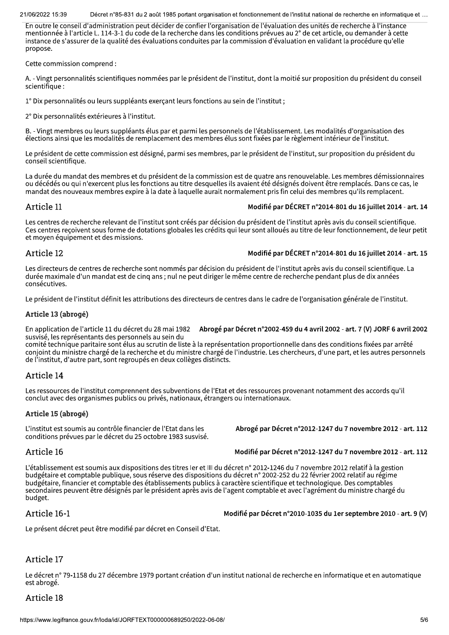Lecret n°85-831 du 2 aout 1985 portant organisation et fonctionnement de l'institut national de recherche en informatique et …

En outre le conseil d'administration peut décider de confier l'organisation de l'évaluation des unités de recherche à l'instance mentionnée à l'article L. 114-3-1 du code de la recherche dans les conditions prévues au 2° de cet article, ou demander à cette instance de s'assurer de la qualité des évaluations conduites par la commission d'évaluation en validant la procédure qu'elle propose.

Cette commission comprend :

A. - Vingt personnalités scientifiques nommées par le président de l'institut, dont la moitié sur proposition du président du conseil scientifique :

1° Dix personnalités ou leurs suppléants exercant leurs fonctions au sein de l'institut;

2° Dix personnalités extérieures à l'institut.

B. - Vingt membres ou leurs suppléants élus par et parmi les personnels de l'établissement. Les modalités d'organisation des élections ainsi que les modalités de remplacement des membres élus sont fixées par le règlement intérieur de l'institut.

Le président de cette commission est désigné, parmi ses membres, par le président de l'institut, sur proposition du président du conseil scientifique.

La durée du mandat des membres et du président de la commission est de quatre ans renouvelable. Les membres démissionnaires ou décédés ou qui n'exercent plus les fonctions au titre desquelles ils avaient été désignés doivent être remplacés. Dans ce cas, le mandat des nouveaux membres expire à la date à laquelle aurait normalement pris fin celui des membres qu'ils remplacent.

# Article 11

### Modifié par DÉCRET n°2014-801 du 16 juillet 2014 - art. 14

Les centres de recherche relevant de l'institut sont créés par décision du président de l'institut après avis du conseil scientifique. Ces centres recoivent sous forme de dotations globales les crédits qui leur sont alloués au titre de leur fonctionnement, de leur petit et moyen équipement et des missions.

# Article 12

### Modifié par DÉCRET n°2014-801 du 16 juillet 2014 - art. 15

Les directeurs de centres de recherche sont nommés par décision du président de l'institut après avis du conseil scientifique. La durée maximale d'un mandat est de cinq ans ; nul ne peut diriger le même centre de recherche pendant plus de dix années consécutives.

Le président de l'institut définit les attributions des directeurs de centres dans le cadre de l'organisation générale de l'institut.

### Article 13 (abrogé)

En application de l'article 11 du decret du 28 mai 1982 — <mark>Abroge par Decret n°2002-459 du 4 avril 2002 - art. 7 (V) JORF 6 avril 2002</mark> susvisé, les représentants des personnels au sein du

comité technique paritaire sont élus au scrutin de liste à la représentation proportionnelle dans des conditions fixées par arrêté conjoint du ministre chargé de la recherche et du ministre chargé de l'industrie. Les chercheurs, d'une part, et les autres personnels de l'institut, d'autre part, sont regroupés en deux collèges distincts.

# Article 14

Les ressources de l'institut comprennent des subventions de l'Etat et des ressources provenant notamment des accords qu'il conclut avec des organismes publics ou privés, nationaux, étrangers ou internationaux.

### Article 15 (abrogé)

L'institut est soumis au contrôle financier de l'Etat dans les conditions prévues par le décret du 25 octobre 1983 susvisé. Abrogé par Décret n°2012-1247 du 7 novembre 2012 - art. 112

Modifié par Décret n°2012-1247 du 7 novembre 2012 - art. 112

# Article 16

L'établissement est soumis aux dispositions des titres ler et III du décret n° 2012-1246 du 7 novembre 2012 relatif à la gestion budgétaire et comptable publique, sous réserve des dispositions du décret n° 2002-252 du 22 février 2002 relatif au régime budgétaire, financier et comptable des établissements publics à caractère scientifique et technologique. Des comptables secondaires peuvent être désignés par le président après avis de l'agent comptable et avec l'agrément du ministre chargé du budget.

# Article 16-1

Modifié par Décret n°2010-1035 du 1er septembre 2010 - art. 9 (V)

Le présent décret peut être modifié par décret en Conseil d'Etat.

# Article 17

Le décret n° 79-1158 du 27 décembre 1979 portant c<br>est abrogé.<br>Article 18<br>https://www.legifrance.gouv.fr/loda/id/JORFTEXT0000006892 Le décret n° 79-1158 du 27 décembre 1979 portant création d'un institut national de recherche en informatique et en automatique est abrogé.

# Article 18